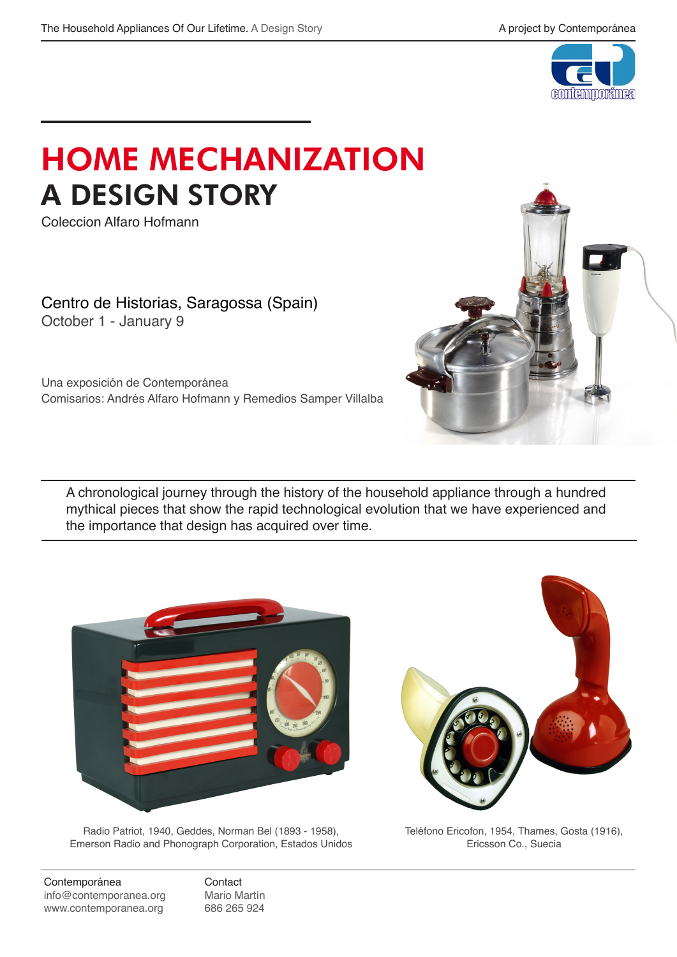

## HOME MECHANIZATION A DESIGN STORY

Coleccion Alfaro Hofmann

Centro de Historias, Saragossa (Spain) October 1 - January 9

Una exposición de Contemporánea Comisarios: Andrés Alfaro Hofmann y Remedios Samper Villalba

A chronological journey through the history of the household appliance through a hundred mythical pieces that show the rapid technological evolution that we have experienced and the importance that design has acquired over time.





Radio Patriot, 1940, Geddes, Norman Bel (1893 - 1958), Emerson Radio and Phonograph Corporation, Estados Unidos

Teléfono Ericofon, 1954, Thames, Gosta (1916), Ericsson Co., Suecia

 Contemporánea Contact info@contemporanea.org Mario Martín<br>www.contemporanea.org 686 265 924 www.contemporanea.org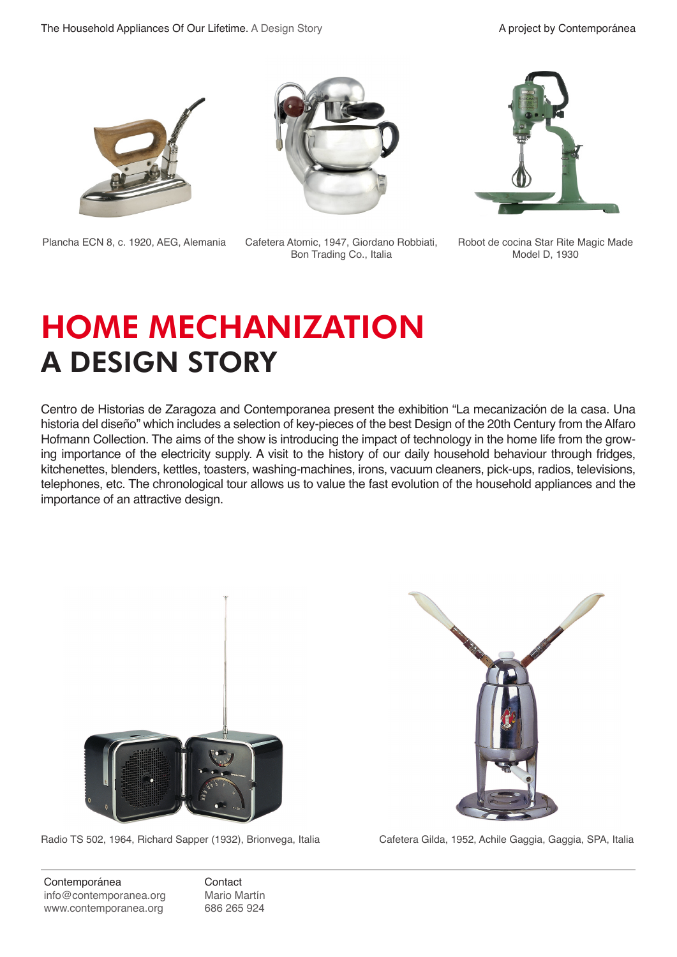

Plancha ECN 8, c. 1920, AEG, Alemania Cafetera Atomic, 1947, Giordano Robbiati,



Bon Trading Co., Italia



Robot de cocina Star Rite Magic Made Model D, 1930

# HOME MECHANIZATION A DESIGN STORY

Centro de Historias de Zaragoza and Contemporanea present the exhibition "La mecanización de la casa. Una historia del diseño" which includes a selection of key-pieces of the best Design of the 20th Century from the Alfaro Hofmann Collection. The aims of the show is introducing the impact of technology in the home life from the growing importance of the electricity supply. A visit to the history of our daily household behaviour through fridges, kitchenettes, blenders, kettles, toasters, washing-machines, irons, vacuum cleaners, pick-ups, radios, televisions, telephones, etc. The chronological tour allows us to value the fast evolution of the household appliances and the importance of an attractive design.



Radio TS 502, 1964, Richard Sapper (1932), Brionvega, Italia Cafetera Gilda, 1952, Achile Gaggia, Gaggia, SPA, Italia



 Contemporánea Contact info@contemporanea.org Mario Martín www.contemporanea.org 686 265 924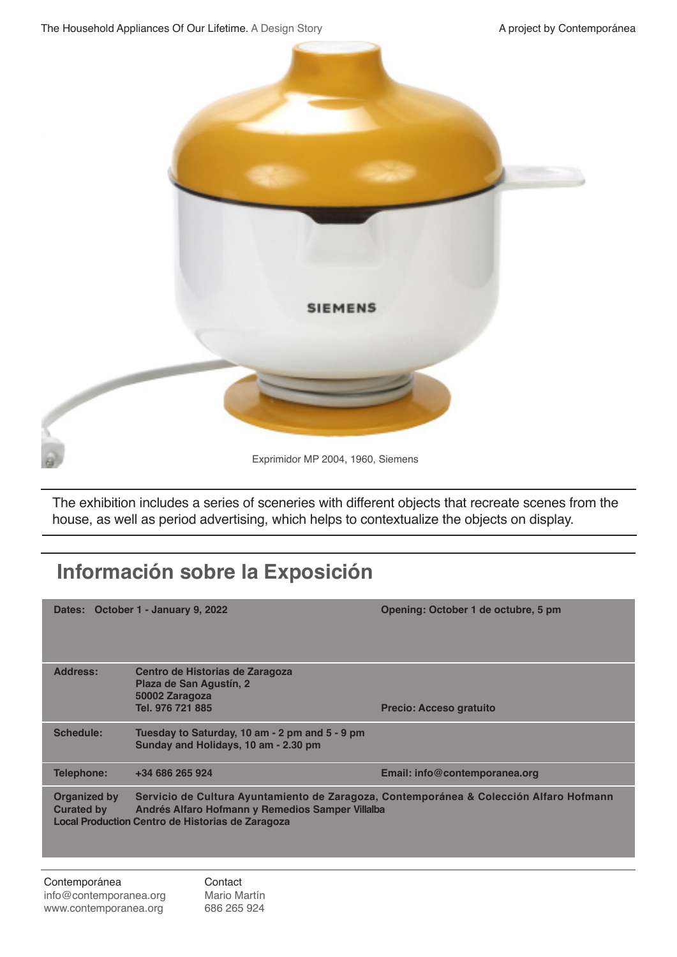

Exprimidor MP 2004, 1960, Siemens

The exhibition includes a series of sceneries with different objects that recreate scenes from the house, as well as period advertising, which helps to contextualize the objects on display.

### **Información sobre la Exposición**

Dates: October 1 - January 9, 2022 **Case Contract Contract Contract Contract Contract Contract Contract Contract Contract Contract Contract Contract Contract Contract Contract Contract Contract Contract Contract Contract C Address: Centro de Historias de Zaragoza Plaza de San Agustín, 2 50002 Zaragoza Precio: Acceso gratuito Schedule: Tuesday to Saturday, 10 am - 2 pm and 5 - 9 pm Sunday and Holidays, 10 am - 2.30 pm Telephone: +34 686 265 924 Email: info@contemporanea.org Organized by Servicio de Cultura Ayuntamiento de Zaragoza, Contemporánea & Colección Alfaro Hofmann Curated by Andrés Alfaro Hofmann y Remedios Samper Villalba Local Production Centro de Historias de Zaragoza**